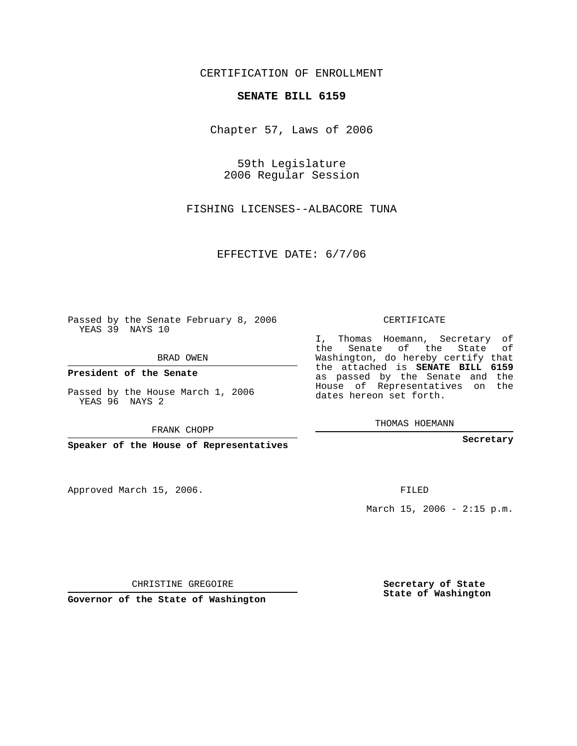## CERTIFICATION OF ENROLLMENT

## **SENATE BILL 6159**

Chapter 57, Laws of 2006

59th Legislature 2006 Regular Session

FISHING LICENSES--ALBACORE TUNA

EFFECTIVE DATE: 6/7/06

Passed by the Senate February 8, 2006 YEAS 39 NAYS 10

BRAD OWEN

**President of the Senate**

Passed by the House March 1, 2006 YEAS 96 NAYS 2

FRANK CHOPP

**Speaker of the House of Representatives**

Approved March 15, 2006.

CERTIFICATE

I, Thomas Hoemann, Secretary of the Senate of the State of Washington, do hereby certify that the attached is **SENATE BILL 6159** as passed by the Senate and the House of Representatives on the dates hereon set forth.

THOMAS HOEMANN

**Secretary**

FILED

March 15, 2006 -  $2:15$  p.m.

CHRISTINE GREGOIRE

**Governor of the State of Washington**

**Secretary of State State of Washington**